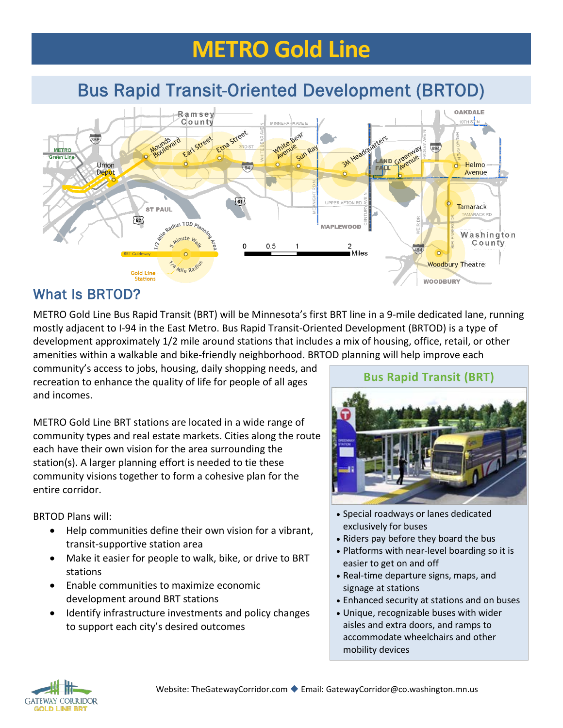# **METRO Gold Line**

# Bus Rapid Transit-Oriented Development (BRTOD)



### What Is BRTOD?

METRO Gold Line Bus Rapid Transit (BRT) will be Minnesota's first BRT line in a 9-mile dedicated lane, running mostly adjacent to I-94 in the East Metro. Bus Rapid Transit-Oriented Development (BRTOD) is a type of development approximately 1/2 mile around stations that includes a mix of housing, office, retail, or other amenities within a walkable and bike-friendly neighborhood. BRTOD planning will help improve each

community's access to jobs, housing, daily shopping needs, and recreation to enhance the quality of life for people of all ages and incomes.

METRO Gold Line BRT stations are located in a wide range of community types and real estate markets. Cities along the route each have their own vision for the area surrounding the station(s). A larger planning effort is needed to tie these community visions together to form a cohesive plan for the entire corridor.

BRTOD Plans will:

- Help communities define their own vision for a vibrant, transit-supportive station area
- Make it easier for people to walk, bike, or drive to BRT stations
- Enable communities to maximize economic development around BRT stations
- Identify infrastructure investments and policy changes to support each city's desired outcomes



- Special roadways or lanes dedicated exclusively for buses
- Riders pay before they board the bus
- Platforms with near-level boarding so it is easier to get on and off
- Real-time departure signs, maps, and signage at stations
- Enhanced security at stations and on buses
- Unique, recognizable buses with wider aisles and extra doors, and ramps to accommodate wheelchairs and other mobility devices



#### **Bus Rapid Transit (BRT)**